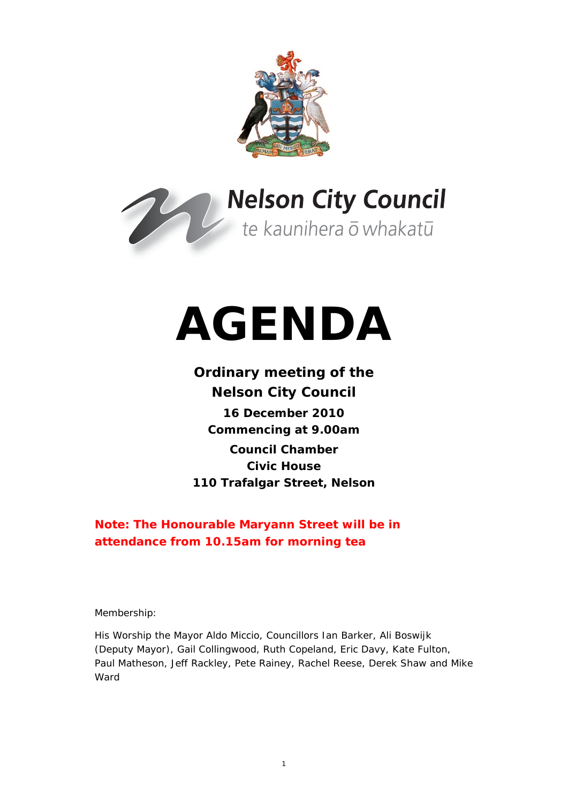



# **AGENDA**

# **Ordinary meeting of the Nelson City Council 16 December 2010 Commencing at 9.00am Council Chamber Civic House**

**110 Trafalgar Street, Nelson** 

**Note: The Honourable Maryann Street will be in attendance from 10.15am for morning tea** 

Membership:

His Worship the Mayor Aldo Miccio, Councillors Ian Barker, Ali Boswijk (Deputy Mayor), Gail Collingwood, Ruth Copeland, Eric Davy, Kate Fulton, Paul Matheson, Jeff Rackley, Pete Rainey, Rachel Reese, Derek Shaw and Mike Ward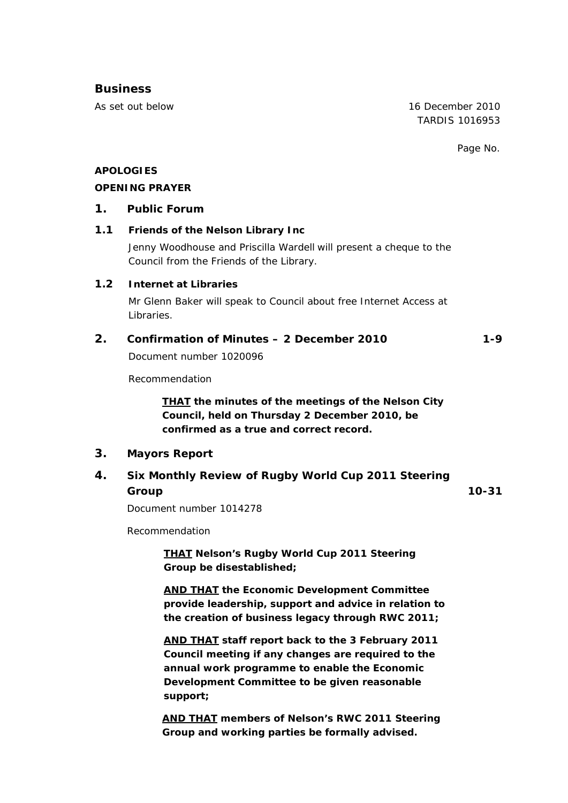## **Business**

As set out below 16 December 2010 TARDIS 1016953

Page No.

## **APOLOGIES**

#### **OPENING PRAYER**

#### **1. Public Forum**

## **1.1 Friends of the Nelson Library Inc**

Jenny Woodhouse and Priscilla Wardell will present a cheque to the Council from the Friends of the Library.

#### **1.2 Internet at Libraries**

Mr Glenn Baker will speak to Council about free Internet Access at Libraries.

## **2. Confirmation of Minutes – 2 December 2010 1-9**

Document number 1020096

Recommendation

*THAT the minutes of the meetings of the Nelson City Council, held on Thursday 2 December 2010, be confirmed as a true and correct record.* 

## **3. Mayors Report**

## **4. Six Monthly Review of Rugby World Cup 2011 Steering Group 10-31**

Document number 1014278

Recommendation

*THAT Nelson's Rugby World Cup 2011 Steering Group be disestablished;* 

*AND THAT the Economic Development Committee provide leadership, support and advice in relation to the creation of business legacy through RWC 2011;* 

*AND THAT staff report back to the 3 February 2011 Council meeting if any changes are required to the annual work programme to enable the Economic Development Committee to be given reasonable support;* 

*AND THAT members of Nelson's RWC 2011 Steering Group and working parties be formally advised.*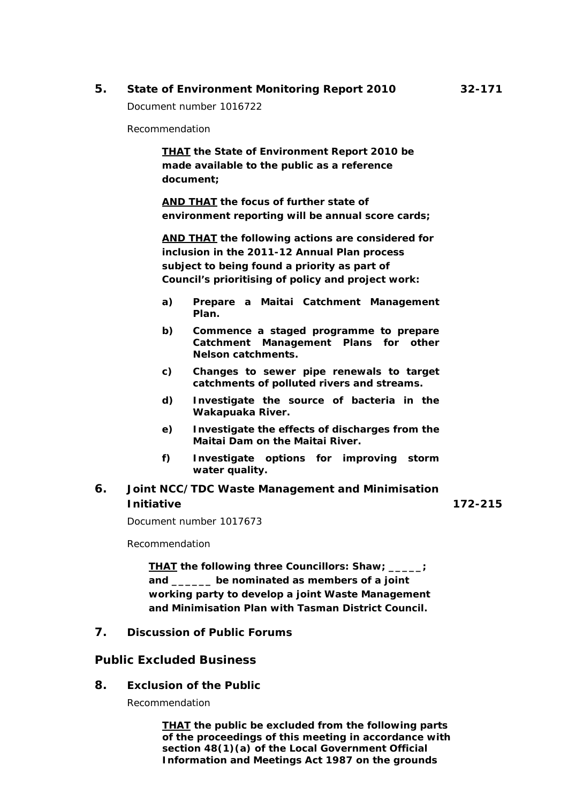## **5. State of Environment Monitoring Report 2010 32-171**

Document number 1016722

Recommendation

*THAT the State of Environment Report 2010 be made available to the public as a reference document;* 

*AND THAT the focus of further state of environment reporting will be annual score cards;*

*AND THAT the following actions are considered for inclusion in the 2011-12 Annual Plan process subject to being found a priority as part of Council's prioritising of policy and project work:* 

- *a) Prepare a Maitai Catchment Management Plan.*
- *b) Commence a staged programme to prepare Catchment Management Plans for other Nelson catchments.*
- *c) Changes to sewer pipe renewals to target catchments of polluted rivers and streams.*
- *d) Investigate the source of bacteria in the Wakapuaka River.*
- *e) Investigate the effects of discharges from the Maitai Dam on the Maitai River.*
- *f) Investigate options for improving storm water quality.*

## **6. Joint NCC/TDC Waste Management and Minimisation Initiative 172-215**

Document number 1017673

Recommendation

*THAT the following three Councillors: Shaw; \_\_\_\_\_; and \_\_\_\_\_\_ be nominated as members of a joint working party to develop a joint Waste Management and Minimisation Plan with Tasman District Council.*

**7. Discussion of Public Forums** 

## **Public Excluded Business**

**8. Exclusion of the Public** 

Recommendation

*THAT the public be excluded from the following parts of the proceedings of this meeting in accordance with section 48(1)(a) of the Local Government Official Information and Meetings Act 1987 on the grounds*